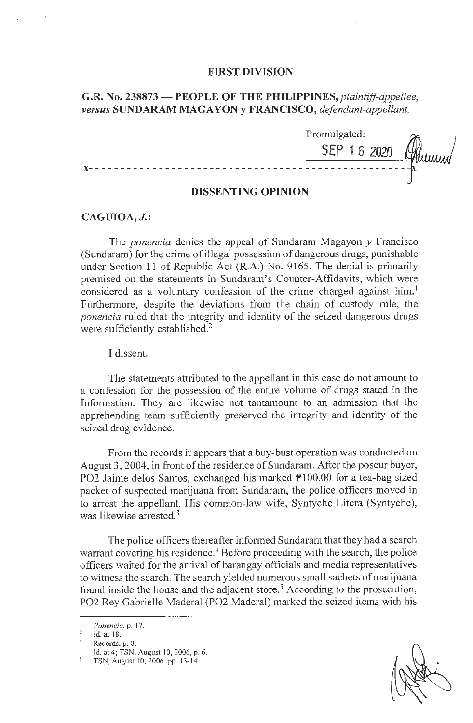### **FIRST DIVISION**

# **G.R. No. 238873 - PEOPLE OF THE PHILIPPINES,** *plaintiff-appellee, versus* **SUNDARAM MAGA YON y FRANCISCO,** *defendant-appellant.*

Promulgated: **SEP 1 6 2020 x-** - - - - - - - - - - - - - - - - - - - - - - - - - - - - - - - - - - - - - - - - - - - - - - - - - -

# **DISSENTING OPINION**

## **CAGUIOA, J.:**

The *ponencia* denies the appeal of Sundaram Magayon *y* Francisco (Sundaram) for the crime of illegal possession of dangerous drugs, punishable under Section **11** of Republic Act (R.A.) No. 9165. The denial is primarily premised on the statements in Sundaram's Counter-Affidavits, which were considered as a voluntary confession of the crime charged against him.<sup>1</sup> Furthermore, despjte the deviations from the chain of custody rule, the *ponencia* ruled that the integrity and identity of the seized dangerous drugs were sufficiently established.<sup>2</sup>

I dissent.

The statements attributed to the appellant in this case do not amount to a confession for the possession of the entire volume of drugs stated in the Information. They are likewise not tantamount to an admission that the apprehending team sufficiently preserved the integrity and identity of the seized drug evidence.

From the records it appears that a buy-bust operation was conducted on August 3, 2004, in front of the residence of Sundaram. After the poseur buyer, PO2 Jaime delos Santos, exchanged his marked P100.00 for a tea-bag sized packet of suspected marijuana from Sundaram, the police officers moved in to arrest the appellant. His common-law wife, Syntyche Litera (Syntyche), was likewise arrested.<sup>3</sup>

The police officers thereafter informed Sundaram that they had a search warrant covering his residence.<sup>4</sup> Before proceeding with the search, the police officers waited for the arrival of barangay officials and media representatives to witness the search. The search yielded numerous small sachets of marijuana found inside the house and the adjacent store.<sup>5</sup> According to the prosecution, PO2 Rey Gabrielle Maderal (PO2 Madera!) marked the seized items with his

<sup>1</sup>*Ponencia,* p. 17. 2 **Id. at 18.** 

Records, p. 8.<br>1d. at 4; TSN, August 10, 2006, p. 6.

*<sup>5</sup>*TSN, August I 0, 2006, pp. 13- 14.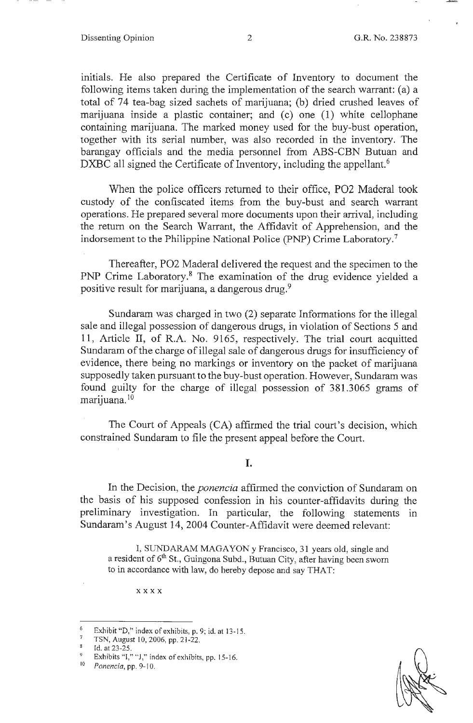initials. He also prepared the Certificate of Inventory to document the following items taken during the implementation of the search warrant: (a) a total of 74 tea-bag sized sachets of marijuana; (b) dried crushed leaves of marijuana inside a plastic container; and  $(c)$  one  $(1)$  white cellophane containing marijuana. The marked money used for the buy-bust operation, together with its serial number, was also recorded in the inventory. The barangay officials and the media personnel from ABS-CBN Butuan and DXBC all signed the Certificate of Inventory, including the appellant.<sup>6</sup>

When the police officers returned to their office, P02 Maderal took custody of the confiscated items from the buy-bust and search warrant operations. He prepared several more documents upon their arrival, including the return on the Search Warrant, the Affidavit of Apprehension, and the indorsement to the Philippine National Police (PNP) Crime Laboratory.<sup>7</sup>

Thereafter, P02 Maderal delivered the request and the specimen to the PNP Crime Laboratory.<sup>8</sup> The examination of the drug evidence yielded a positive result for marijuana, a dangerous drug.<sup>9</sup>

Sundaram was charged in two  $(2)$  separate Informations for the illegal sale and illegal possession of dangerous drugs, in violation of Sections 5 and 11, Article II, of R.A. No. 9165, respectively. The trial court acquitted Sundaram of the charge of illegal sale of dangerous drugs for insufficiency of evidence, there being no markings or inventory on the packet of marijuana supposedly taken pursuant to the buy-bust operation. However, Sundaram was found guilty for the charge of illegal possession of 381.3065 grams of marijuana. <sup>10</sup>

The Court of Appeals (CA) affirmed the trial court's decision, which constrained Sundaram to file the present appeal before the Court.

## I.

In the Decision, the *ponencia* affirmed the conviction of Sundaram on the basis of his supposed confession in his counter-affidavits during the preliminary investigation. In particular, the following statements in Sundaram's August 14, 2004 Counter-Affidavit were deemed relevant:

I, SUNDARAM MAGAYON y Francisco, 31 years old, single and a resident of  $6<sup>th</sup>$  St., Guingona Subd., Butuan City, after having been sworn to in accordance with law, do hereby depose and say THAT:

xxxx

<sup>&</sup>lt;sup>6</sup> Exhibit "D," index of exhibits, p. 9; id. at 13-15.<br><sup>7</sup> TSN, August 10, 2006, pp. 21-22.

Id. at 23-25.

<sup>&</sup>lt;sup>9</sup> Exhibits "I," "J," index of exhibits, pp. 15-16.<br><sup>10</sup> Ponancia pp. 0, 10

<sup>10</sup>*Ponencia,* pp. 9-10.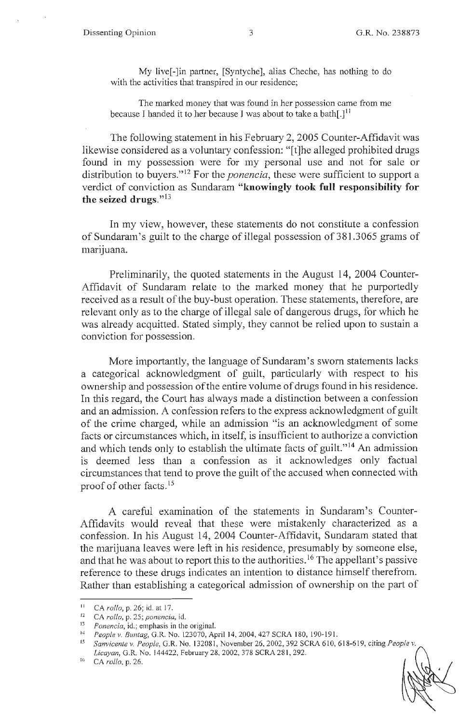My live[-]in partner, [Syntyche ], alias Cheche, has nothing to do with the activities that transpired in our residence;

The marked money that was found in her possession came from me because I handed it to her because I was about to take a bath $[.]^{11}$ 

The following statement in his February 2, 2005 Counter-Affidavit was likewise considered as a voluntary confession: "[t]he alleged prohibited drugs found in my possession were for my personal use and not for sale or distribution to buyers."<sup>12</sup> For the *ponencia*, these were sufficient to support a verdict of conviction as Sundaram **"knowingly took full responsibility for the seized drugs." <sup>13</sup>**

In my view, however, these statements do not constitute a confession of Sundaram's guilt to the charge of illegal possession of 381.3065 grams of marijuana.

Preliminarily, the quoted statements in the August 14, 2004 Counter-Affidavit of Sundaram relate to the marked money that he purportedly received as a result of the buy-bust operation. These statements, therefore, are relevant only as to the charge of illegal sale of dangerous drugs, for which he was already acquitted. Stated simply, they cannot be relied upon to sustain a conviction for possession.

More importantly, the language of Sundaram's sworn statements lacks a categorical acknowledgment of guilt, particularly with respect to his ownership and possession of the entire volume of drugs found in his residence. In this regard, the Court has always made a distinction between a confession and an admission. A confession refers to the express acknowledgment of guilt of the crime charged, while an admission "is an acknowledgment of some facts or circumstances which, in itself, is insufficient to authorize a conviction and which tends only to establish the ultimate facts of guilt."<sup>14</sup> An admission is deemed less than a confession as it acknowledges only factual circumstances that tend to prove the guilt of the accused when connected with proof of other facts.<sup>15</sup>

A careful examination of the statements in Sundaram's Counter-Affidavits would reveal that these were mistakenly characterized as a confession. In his August 14, 2004 Counter-Affidavit, Sundaram stated that the marijuana leaves were left in his residence, presumably by someone else, and that he was about to report this to the authorities.<sup>16</sup> The appellant's passive reference to these drugs indicates an intention to distance himself therefrom. Rather than establishing a categorical admission of ownership on the part of

<sup>11</sup>CA *rollo,* p. 26; id. at 17.

<sup>12</sup> CA *rollo,* p. 25; *ponencia,* id.

<sup>13</sup>*Ponencia,* id.; emphasis in the original.

<sup>14</sup> People v. Buntag, G.R. No. 123070, April 14, 2004, 427 SCRA 180, 190-191.

<sup>15</sup>*Sanvicente v. People,* G.R. No. 132081, November 26, 2002, 392 SCRA 610, 618-619, citing *People v. licayan,* G.R. No. 144422, February 28, 2002, 378 SCRA 28 I, 292.

<sup>16</sup> CA *rollo,* p. 26.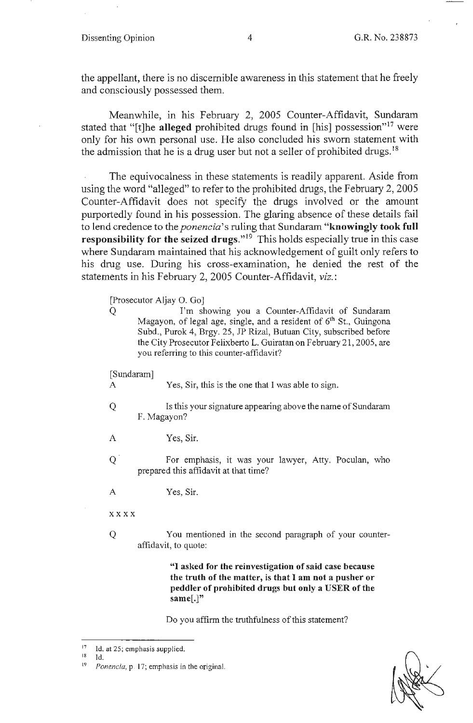the appellant, there is no discernible awareness in this statement that he freely and consciously possessed them.

Meanwhile, in his February 2, 2005 Counter-Affidavit, Sundaram stated that "[t]he **alleged** prohibited drugs found in [his] possession"<sup>17</sup> were only for his own personal use. He also concluded his sworn statement with the admission that he is a drug user but not a seller of prohibited drugs.<sup>18</sup>

The equivocalness in these statements is readily apparent. Aside from using the word "alleged" to refer to the prohibited drugs, the February 2, 2005 Counter-Affidavit does not specify the drugs involved or the amount purportedly found in his possession. The glaring absence of these details fail to lend credence to the *ponencia's* ruling that Sundaram **"knowingly took full responsibility for the seized drugs."<sup>19</sup> This holds especially true in this case** where Sundaram maintained that his acknowledgement of guilt only refers to his drug use. During his cross-examination, he denied the rest of the statements in his February 2, 2005 Counter-Affidavit, *viz.:* 

[Prosecutor Aljay 0. Go]

Q I'm showing you a Counter-Affidavit of Sundaram Magayon, of legal age, single, and a resident of  $6<sup>th</sup>$  St., Guingona Subd., Purok 4, Brgy. 25, JP Rizal, Butuan City, subscribed before the City Prosecutor Felixberto L. Guiratan on February 21 , 2005, are you referring to this counter-affidavit?

[Sundaram]

A Yes, Sir, this is the one that I was able to sign.

- Q Is this your signature appearing above the name of Sundaram F. Magayon?
- A Yes, Sir.
- Q For emphasis, it was your lawyer, Atty. Poculan, who prepared this affidavit at that time?
- A Yes, Sir.

**xxxx** 

Q You mentioned in the second paragraph of your counteraffidavit, to quote:

> "I **asked for the reinvestigation of said case because the truth of the matter, is that** I **am not a pusher or peddler of prohibited drugs but only a USER of the same[.]"**

Do you affirm the truthfulness of this statement?

<sup>&</sup>lt;sup>17</sup> Id. at 25; emphasis supplied.

Id.

<sup>19</sup>*Ponencia,* p. 17; emphasis in the original.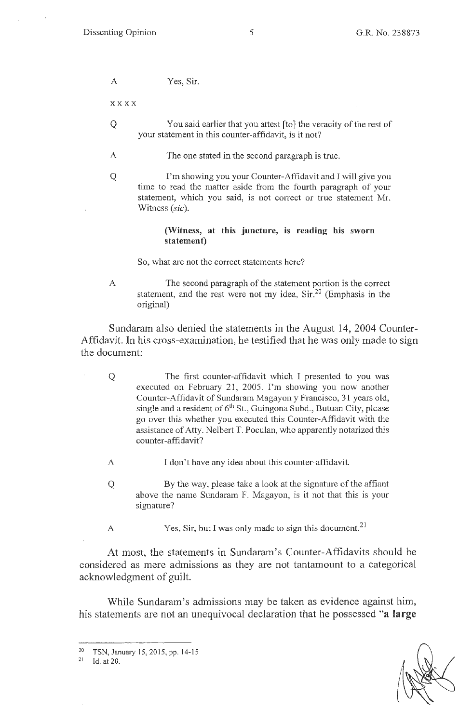A Yes, Sir.

**xxxx** 

- Q You said earlier that you attest (to] the veracity of the rest of your statement in this counter-affidavit, is it not?
- A The one stated in the second paragraph is true.
- Q I'm showing you your Counter-Affidavit and I will give you time to read the matter aside from the fourth paragraph of your statement, which you said, is not correct or true statement Mr. Witness *(sic).*

### **(Witness, at this \_juncture, is reading his sworn statement)**

So, what are not the correct statements here?

A The second paragraph of the statement portion is the correct statement, and the rest were not my idea,  $\text{Sir}^{20}$  (Emphasis in the original)

Sundaram also denied the statements in the August 14, 2004 Counter-Affidavit. In his cross-examination, he testified that he was only made to sign the document:

- Q The first counter-affidavit which I presented to you was executed on February 21, 2005. I'm showing you now another Counter-Affidavit of Sundaram Magayon y Francisco, 31 years old, single and a resident of  $6<sup>th</sup>$  St., Guingona Subd., Butuan City, please go over this whether you executed this Counter-Affidavit with the assistance of Atty. Neibert T. Poculan, who apparently notarized this counter-affidavit?
- A I don't have any idea about this counter-affidavit.
- Q By the way, please take a look at the signature of the affiant above the name Sundaram F. Magayon, is it not that this is your signature?
- A Yes, Sir, but I was only made to sign this document.<sup>21</sup>

At most, the statements in Sundaram's Counter-Affidavits should be considered as mere admissions as they are not tantamount to a categorical acknowledgment of *guilt.* 

While Sundaram's admissions may be taken as evidence against him, his statements are not an unequivocal declaration that he possessed **"a large** 

<sup>&</sup>lt;sup>20</sup> TSN, January 15, 2015, pp. 14-15<br><sup>21</sup> Id. at 20

<sup>1</sup>d. at 20.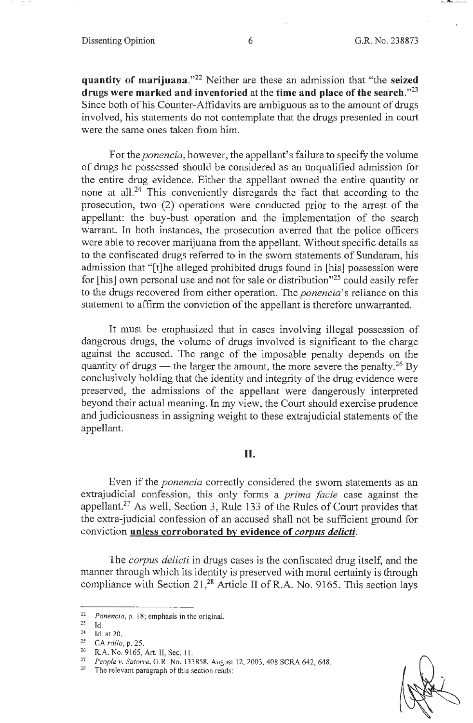**quantity of marijuana."22** Neither are these an admission that "the **seized drugs were marked and inventoried** at the **time and place of the search."23**  Since both of his Counter-Affidavits are ambiguous as to the amount of drugs involved, his statements do not contemplate that the drugs presented in court were the same ones taken from him.

For the *ponencia,* however, the appellant's failure to specify the volume of drugs he possessed should be considered as an unqualified admission for the entire drug evidence. Either the appellant owned the entire quantity or none at all.<sup>24</sup> This conveniently disregards the fact that according to the prosecution, two (2) operations were conducted prior to the arrest of the appellant: the buy-bust operation and the implementation of the search warrant. In both instances, the prosecution averred that the police officers were able to recover marijuana from the appellant. Without specific details as to the confiscated drugs referred to in the sworn statements of Sundaram, his admission that "[t]he alleged prohibited drugs found in [his] possession were for [his] own personal use and not for sale or distribution"25 could easily refer to the drugs recovered from either operation. The *ponencia'* s reliance on this statement to affirm the conviction of the appellant is therefore unwarranted.

It must be emphasized that in cases involving illegal possession of dangerous drugs, the volume of drugs involved is significant to the charge against the accused. The range of the imposable penalty depends on the quantity of drugs — the larger the amount, the more severe the penalty.<sup>26</sup> By conclusively holding that the identity and integrity of the drug evidence were preserved, the admissions of the appellant were dangerously interpreted beyond their actual meaning. In my view, the Court should exercise prudence and judiciousness in assigning weight to these extrajudicial statements of the appellant.

## **II.**

Even if the *ponencia* correctly considered the sworn statements as an extrajudicial confession, this only forms a *prima facie* case against the appellant.<sup>27</sup> As well, Section 3, Rule 133 of the Rules of Court provides that the extra-judicial confession of an accused shall not be sufficient ground for conviction **unless corroborated by evidence of** *corpus delicti.* 

The *corpus delicti* in drugs cases is the confiscated drug itself, and the manner through which its identity is preserved with moral certainty is through compliance with Section 21,<sup>28</sup> Article II of R.A. No. 9165. This section lays

<sup>&</sup>lt;sup>22</sup> *Ponencia*, p. 18; emphasis in the original.

 $\frac{23}{24}$  Id.

Id. at 20.

<sup>25</sup> CA *rollo*, p. 25.<br><sup>26</sup> R.A. No. 9165, Art. II, Sec. 11.<br><sup>27</sup> *People v. Satorre*, G.R. No. 133858, August 12, 2003, 408 SCRA 642, 648.<br><sup>28</sup> The relevant paragraph of this section reads: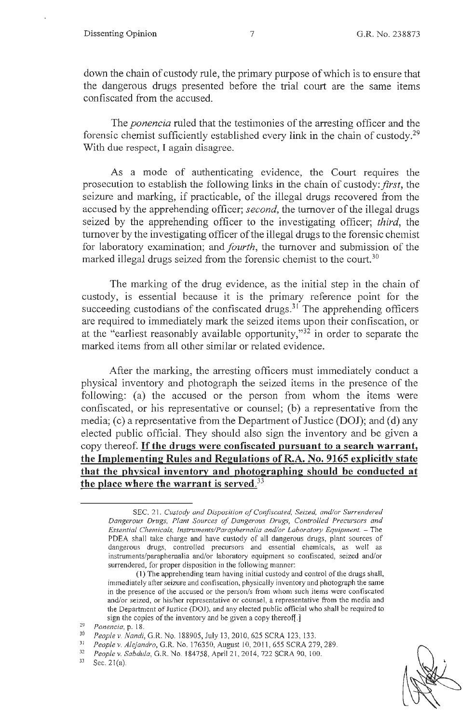down the chain of custody rule, the primary purpose of which is to ensure that the dangerous drugs presented before the trial court are the same items confiscated from the accused.

The *ponencia* ruled that the testimonies of the arresting officer and the forensic chemist sufficiently established every link in the chain of custody.29 With due respect, I again disagree.

As a mode of authenticating evidence, the Court requires the prosecution to establish the following links in the chain of custody: *first,* the seizure and marking, if practicable, of the illegal drugs recovered from the accused by the apprehending officer; *second,* the turnover of the illegal drugs seized by the apprehending officer to the investigating officer; *third*, the turnover by the investigating officer of the illegal drugs to the forensic chemist for laboratory examination; and *fourth,* the turnover and submission of the marked illegal drugs seized from the forensic chemist to the court.<sup>30</sup>

The marking of the drug evidence, as the initial step in the chain of custody, is essential because it is the primary reference point for the succeeding custodians of the confiscated drugs. $31$  The apprehending officers are required to immediately mark the seized items upon their confiscation, or at the "earliest reasonably available opportunity,"32 in order to separate the marked items from all other similar or related evidence.

After the marking, the arresting officers must immediately conduct a physical inventory and photograph the seized items in the presence of the following: (a) the accused or the person from whom the items were confiscated, or his representative or counsel; (b) a representative from the media; (c) a representative from the Department of Justice (DOJ); and (d) any elected public official. They should also sign the inventory and be given a copy thereof. If **the drugs were confiscated pursuant to a search warrant, the Implementing Rules and Regulations of R.A. No. 9165 explicitly state that the physical inventory and photographing should be conducted at the place where the warrant is served.33** 

Sec.  $21(a)$ .

SEC. 2 1. *Custody and Disposilion of Confiscated, Seized, and/or Surrendered Dangerous Drugs, Plant Sources of Dangerous Drugs, Controlled Precursors and Essential Chemicals, Instruments/Paraphernalia and/or Laboratory Equipment.* - The PDEA shall take charge and have custody of all dangerous drugs, plant sources of dangerous drugs, controlled precursors and essential chemicals, as well as instruments/paraphernalia and/or laboratory equipment so confiscated, seized and/or surrendered, for proper disposition in the following manner:

<sup>(])</sup> The apprehending team having initial custody and control of the drugs shall, immediately after seizure and confiscation, physically inventory and photograph the same in the presence of the accused or the person/s from whom such items were confiscated and/or seized, or his/her representative or counsel, a representative from the media and the Department of Justice (DOJ), and any elected public official who shall be required to sign the copies of the inventory and be given a copy thereof[.]<br>
<sup>29</sup> *Ponencia*, p. 18.<br>
<sup>30</sup> *People v. Nandi*, G.R. No. 188905, July 13, 2010, 625 SCRA 123, 133.<br>
<sup>31</sup> *Papplay, Algiandre G.P. No.* 176350, Aygust 10, 20

<sup>&</sup>lt;sup>31</sup> People v. Alejandro, G.R. No. 176350, August 10, 2011, 655 SCRA 279, 289.<br><sup>32</sup> *People v. Sabdula*, G.R. No. 184758, April 21, 2014, 722 SCRA 90, 100.<br><sup>33</sup> Sec. 21(2)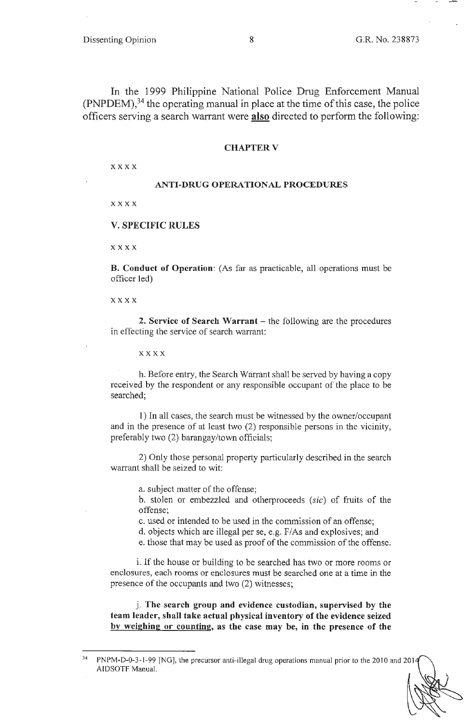In the 1999 Philippine National Police Drug Enforcement Manual  $(PNPDEM)$ ,<sup>34</sup> the operating manual in place at the time of this case, the police officers serving a search warrant were **also** directed to perform the following:

### **CHAPTER V**

xxxx

### **ANTI-DRUG OPERATIONAL PROCEDURES**

xxxx

#### **V. SPECIFIC RULES**

**xxxx** 

**B. Conduct of Operation:** (As far as practicable, all operations must be officer led)

**xxxx** 

**2. Service of Search Warrant** – the following are the procedures in effecting the service of search warrant:

**xxxx** 

h. Before entry, the Search Warrant shall be served by having a copy received by the respondent or any responsible occupant of the place to be searched;

1) In all cases, the search must be witnessed by the owner/occupant and in the presence of at least two (2) responsible persons in the vicinity, preferably two (2) barangay/town officials;

2) Only those personal property particularly described in the search warrant shall be seized to wit:

a. subject matter of the offense;

b. stolen or embezzled and otherproceeds (sic) of fruits of the offense;

c. used or intended to be used in the commission of an offense;

d. objects which are illegal per se, e.g. F/As and explosives; and

e. those that may be used as proof of the commission of the offense.

i. If the house or building to be searched has two or more rooms or enclosures, each rooms or enclosures must be searched one at a time in the presence of the occupants and two (2) witnesses;

j. **The search group and evidence custodian, supervised by the team leader, shall take actual physical inventory of the evidence seized by weighing or counting, as the case may be, in the presence of the** 

<sup>34</sup> PNPM-D-0-3-1-99 [NG], the precursor anti-illegal drug operations manual prior to the 2010 and 20 I AIDSOTF Manual.

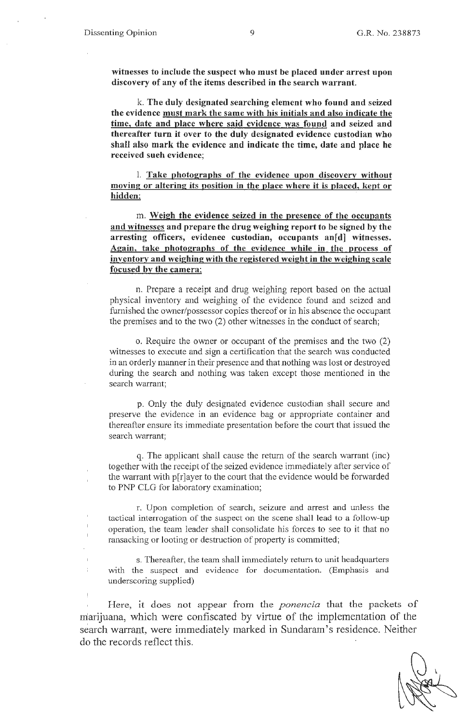ī  $\overline{1}$  **witnesses to include the suspect who must be placed under arrest upon discovery of any of the items described in the search warrant.** 

k. **The duly designated searching element who found and seized the evidence must mark the same with his initials and also indicate the time, date and place where said evidence was found and seized and thereafter turn it over to the duly designated evidence custodian who shall also mark the evidence and indicate the time, date and place he received such evidence;** 

1. **Take photographs of the evidence upon discovery without moving or altering its position in the place where it is placed, kept or hidden:** 

m. **Weigh the evidence seized in the presence of the occupants and witnesses and prepare the drug weighing report to be signed by the**  arresting officers, evidenee custodian, occupants an[d] witnesses. **Again, take photographs of the evidence while in the process of inventory and weighing with the registered weight in the weighing scale focused by the camera;** 

n. Prepare a receipt and drug weighing report based on the actual physical inventory and weighing of the evidence found and seized and furnished the owner/possessor copies thereof or in his absence the occupant the premises and to the two (2) other witnesses in the conduct of search;

o. Require the owner or occupant of the premises and the two (2) witnesses to execute and sign a certification that the search was conducted in an orderly manner in their presence and that nothing was lost or destroyed during the search and nothing was taken except those mentioned in the search warrant;

p. Only the duly designated evidence custodian shall secure and preserve the evidence in an evidence bag or appropriate container and thereafter ensure its immediate presentation before the court that issued the search warrant;

q. The applicant shall cause the return of the search warrant (inc) together with the receipt of the seized evidence immediately after service of the warrant with p[r]ayer to the court that the evidence would be forwarded to PNP CLG for laboratory examination;

r. Upon completion of search, seizure and arrest and unless the tactical interrogation of the suspect on the scene shall lead to a follow-up operation, the team leader shall consolidate his forces to see to it that no ransacking or looting or destruction of property is committed;

s. Thereafter, the team shall immediately return to unit headquarters with the suspect and evidence for documentation. (Emphasis and underscoring supplied)

Here, it does not appear from the *ponencia* that the packets of marijuana, which were confiscated by virtue of the implementation of the search warrant, were immediately marked in Sundaram's residence. Neither do the records reflect this.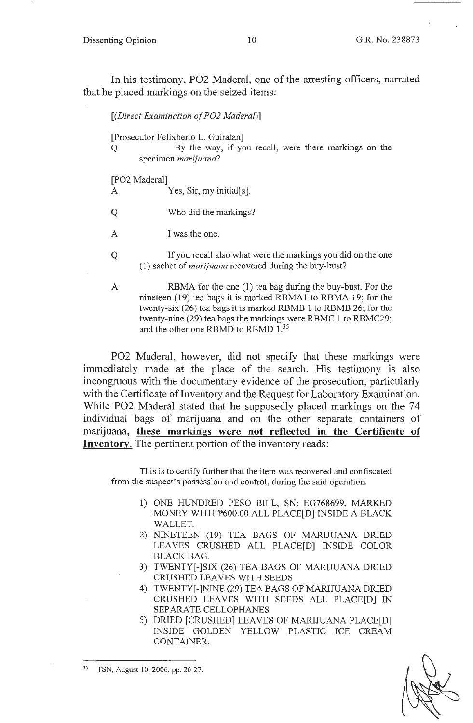Dissenting Opinion 10 G.R. No. 238873

In his testimony, P02 Maderal, one of the arresting officers, narrated that he placed markings on the seized items:

| [(Direct Examination of PO2 Maderal)]                                                                                                                                                               |  |
|-----------------------------------------------------------------------------------------------------------------------------------------------------------------------------------------------------|--|
| [Prosecutor Felixberto L. Guiratan]<br>By the way, if you recall, were there markings on the<br>Q<br>specimen <i>marijuana</i> ?                                                                    |  |
| [PO2 Maderal]                                                                                                                                                                                       |  |
| Yes, Sir, my initial $[s]$ .<br>A                                                                                                                                                                   |  |
| Who did the markings?                                                                                                                                                                               |  |
| I was the one.<br>A                                                                                                                                                                                 |  |
| If you recall also what were the markings you did on the one<br>Q<br>$(1)$ sachet of <i>marijuana</i> recovered during the buy-bust?                                                                |  |
| RBMA for the one (1) tea bag during the buy-bust. For the<br>A<br>nineteen (19) tea bags it is marked RBMA1 to RBMA 19; for the<br>twenty-six (26) tea bags it is marked RBMB 1 to RBMB 26; for the |  |

P02 Madera!, however, did not specify that these markings were immediately made at the place of the search. His testimony is also incongruous with the documentary evidence of the prosecution, particularly with the Certificate of Inventory and the Request for Laboratory Examination. While P02 Maderal stated that he supposedly placed markings on the 74 individual bags of marijuana and on the other separate containers of marijuana, **these markings were not reflected in the Certificate of Inventory.** The pertinent portion of the inventory reads:

and the other one RBMD to RBMD 1.<sup>35</sup>

twenty-nine (29) tea bags the markings were RBMC 1 to RBMC29;

This is to certify further that the item was recovered and confiscated from the suspect's possession and control, during the said operation.

- 1) ONE HUNDRED PESO BILL, SN: EG768699, MARKED MONEY WITH P600.00 ALL PLACE[D] INSIDE A BLACK WALLET.
- 2) NINETEEN (19) TEA BAGS OF MARIJUANA DRIED LEAVES CRUSHED ALL PLACE[D] INSIDE COLOR BLACK BAG.
- 3) TWENTY[-]SIX (26) TEA BAGS OF MARIJUANA DRIED CRUSHED LEAVES WITH SEEDS
- 4) TWENTY[-]NINE (29) TEA BAGS OF MARIJUANA DRIED CRUSHED LEAVES WITH SEEDS ALL PLACE[D] IN SEPARATE CELLOPHANES
- 5) DRIED [CRUSHED] LEAVES OF MARIJUANA PLACE[D] INSIDE GOLDEN YELLOW PLASTIC ICE CREAM CONTAINER.



<sup>35</sup> TSN, August 10, 2006, pp. 26-27.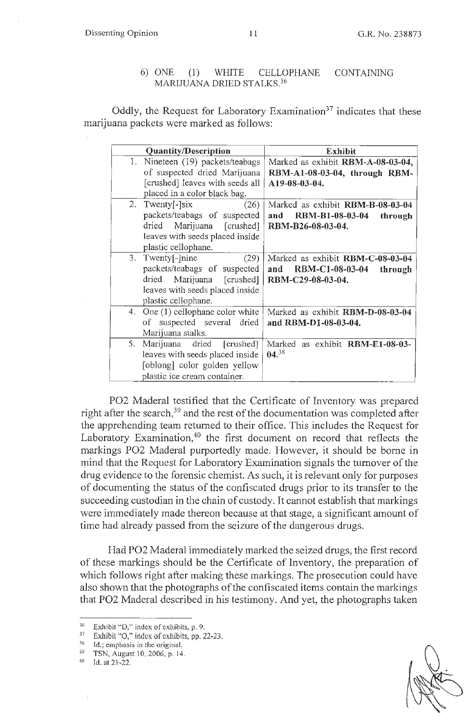**Dissenting Opinion 11 11 11 G.R. No. 238873** 

### 6) ONE (1) WHITE CELLOPHANE CONTAINING MARIJUANA DRIED STALKS. 36

Oddly, the Request for Laboratory Examination<sup>37</sup> indicates that these marijuana packets were marked as follows:

| <b>Quantity/Description</b>          | <b>Exhibit</b>                           |
|--------------------------------------|------------------------------------------|
| Nineteen (19) packets/teabags<br>1.  | Marked as exhibit RBM-A-08-03-04,        |
| of suspected dried Marijuana         | RBM-A1-08-03-04, through RBM-            |
| [crushed] leaves with seeds all      | A19-08-03-04.                            |
| placed in a color black bag.         |                                          |
| 2. Twenty <sup>[-</sup> ]six<br>(26) | Marked as exhibit RBM-B-08-03-04         |
| packets/teabags of suspected         | RBM-B1-08-03-04<br>and<br>through        |
| dried Marijuana [crushed]            | RBM-B26-08-03-04.                        |
| leaves with seeds placed inside      |                                          |
| plastic cellophane.                  |                                          |
| $3.$ Twenty[- $\lnine$<br>(29)       | Marked as exhibit RBM-C-08-03-04         |
| packets/teabags of suspected         | <b>RBM-C1-08-03-04</b><br>and<br>through |
| dried Marijuana [crushed]            | RBM-C29-08-03-04.                        |
| leaves with seeds placed inside      |                                          |
| plastic cellophane.                  |                                          |
| 4. One (1) cellophane color white    | Marked as exhibit RBM-D-08-03-04         |
| of suspected several dried           | and RBM-D1-08-03-04.                     |
| Marijuana stalks.                    |                                          |
| 5.<br>Marijuana dried [crushed]      | Marked as exhibit RBM-E1-08-03-          |
| leaves with seeds placed inside      | 04. <sup>38</sup>                        |
| [oblong] color golden yellow         |                                          |
| plastic ice cream container.         |                                          |

P02 Maderal testified that the Certificate of Inventory was prepared right after the search,  $39$  and the rest of the documentation was completed after the apprehending team returned to their office. This includes the Request for Laboratory Examination, $40$  the first document on record that reflects the markings P02 Madera! purportedly made. However, it should be borne in mind that the Request for Laboratory Examination signals the turnover of the drug evidence to the forensic chemist. As such, it is relevant only for purposes of documenting the status of the confiscated drugs prior to its transfer to the succeeding custodian in the chain of custody. It cannot establish that markings were immediately made thereon because at that stage, a significant amount of time had already passed from the seizure of the dangerous drugs.

Had P02 Maderal immediately marked the seized drugs, the first record of these markings should be the Certificate of Inventory, the preparation of which follows right after making these markings. The prosecution could have also shown that the photographs of the confiscated items contain the markings that P02 Madera! described in his testimony. And yet, the photographs taken

 $36$  Exhibit "D," index of exhibits, p. 9.

 $37$  Exhibit "O," index of exhibits, pp. 22-23.

<sup>&</sup>lt;sup>38</sup> Id.; emphasis in the original.<br><sup>39</sup> TSN, August 10, 2006, p. 14.<br><sup>40</sup> Id. at 21-22.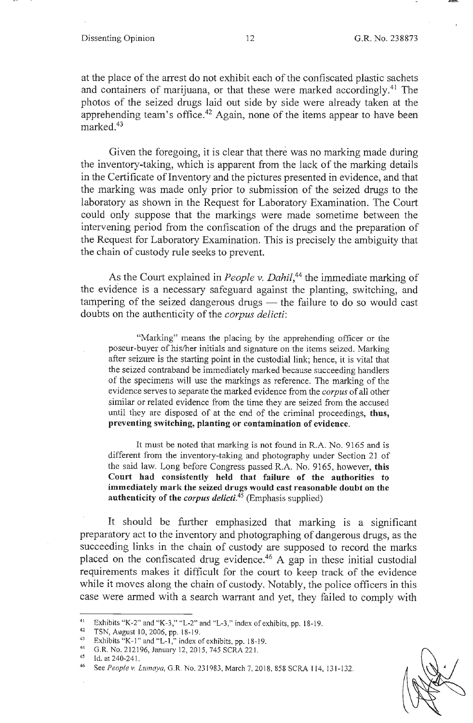at the place of the arrest do not exhibit each of the confiscated plastic sachets and containers of marijuana, or that these were marked accordingly.<sup>41</sup> The photos of the seized drugs laid out side by side were already taken at the apprehending team's office.<sup>42</sup> Again, none of the items appear to have been marked.<sup>43</sup>

Given the foregoing, it is clear that there was no marking made during the inventory-taking, which is apparent from the lack of the marking details in the Certificate of Inventory and the pictures presented in evidence, and that the marking was made only prior to submission of the seized drugs to the laboratory as shown in the Request for Laboratory Examination. The Court could only suppose that the markings were made sometime between the intervening period from the confiscation of the drugs and the preparation of the Request for Laboratory Examination. This is precisely the ambiguity that the chain of custody rule seeks to prevent.

As the Court explained in *People v. Dahil*,<sup>44</sup> the immediate marking of the evidence is a necessary safeguard against the planting, switching, and tampering of the seized dangerous drugs - the failure to do so would cast doubts on the authenticity of the *corpus delicti:* 

"Marking" means the placing by the apprehending officer or the poseur-buyer of his/her initials and signature on the items seized. Marking after seizure is the starting point in the custodial link; hence, it is vital that the seized contraband be immediately marked because succeeding handlers of the specimens will use the markings as reference. The marking of the evidence serves to separate the marked evidence from the *corpus* of all other similar or related evidence from the time they are seized from the accused until they are disposed of at the end of the criminal proceedings, **thus, preventing switching, planting or contamination of evidence.** 

It must be noted that marking is not found in R.A. No. 9165 and is different from the inventory-taking and photography under Section 21 of the said law. Long before Congress passed R.A. No. 9165, however, **this Court had consistently held that failure of the authorities to immediately mark the seized drugs would cast reasonable doubt on the authenticity of the** *corpus delicti.***<sup>45</sup>**(Emphasis supplied)

It should be further emphasized that marking is a significant preparatory act to the inventory and photographing of dangerous drugs, as the succeeding links in the chain of custody are supposed to record the marks placed on the confiscated drug evidence.<sup>46</sup> A gap in these initial custodial requirements makes it difficult for the court to keep track of the evidence while it moves along the chain of custody. Notably, the police officers in this case were armed with a search warrant and yet, they failed to comply with

<sup>&</sup>lt;sup>41</sup> Exhibits "K-2" and "K-3," "L-2" and "L-3," index of exhibits, pp. 18-19.<br>
<sup>42</sup> TSN, August 10, 2006, pp. 18-19.<br>
<sup>43</sup> Exhibits "K-1" and "L-1," index of exhibits, pp. 18-19.<br>
<sup>44</sup> G.R. No. 212196, January 12, 2015, 7

<sup>46</sup> See *People v. Lumaya*, G.R. No. 231983, March 7, 2018, 858 SCRA 114, 131-132.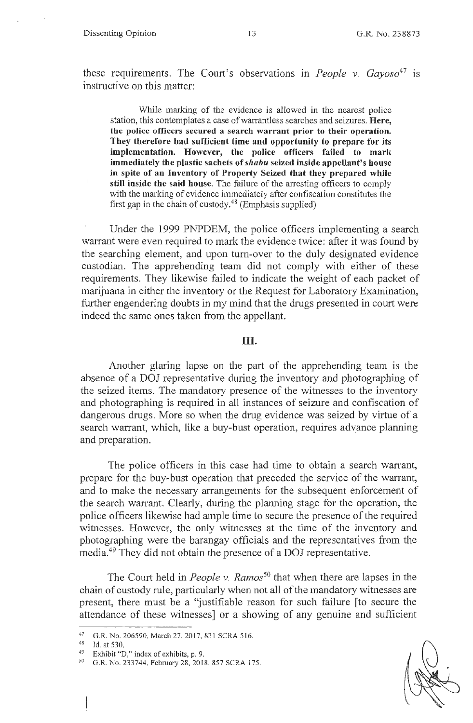$\overline{1}$ 

these requirements. The Court's observations in *People v. Gayoso*<sup>47</sup> is instructive on this matter:

While marking of the evidence is allowed in the nearest police station, this contemplates a case of warrantless searches and seizures. Here, **the police officers secured a search warrant prior to their operation. They therefore had sufficient time and opportunity to prepare for its implementation. However, the police officers failed to mark immediately the plastic sachets of** *shabu* **seized inside appellant's house in spite of an Inventory of Property Seized that they prepared while still inside the said house.** The failure of the arresting officers to comply with the marking of evidence immediately after confiscation constitutes the first gap in the chain of custody.<sup>48</sup> (Emphasis supplied)

Under the 1999 PNPDEM, the police officers implementing a search warrant were even required to mark the evidence twice: after it was found by the searching element, and upon turn-over to the duly designated evidence custodian. The apprehending team did not comply with either of these requirements. They likewise failed to indicate the weight of each packet of marijuana in either the inventory or the Request for Laboratory Examination, further engendering doubts in my mind that the drugs presented in court were indeed the same ones taken from the appellant.

### III.

Another glaring lapse on the part of the apprehending team is the absence of a DOJ representative during the inventory and photographing of the seized items. The mandatory presence of the witnesses to the inventory and photographing is required in all instances of seizure and confiscation of dangerous drugs. More so when the drug evidence was seized by virtue of a search warrant, which, like a buy-bust operation, requires advance planning and preparation.

The police officers in this case had time to obtain a search warrant, prepare for the buy-bust operation that preceded the service of the warrant, and to make the necessary arrangements for the subsequent enforcement of the search warrant. Clearly, during the planning stage for the operation, the police officers likewise had ample time to secure the presence of the required witnesses. However, the only witnesses at the time of the inventory and photographing were the barangay officials and the representatives from the media.49 They did not obtain the presence of a DOJ representative.

The Court held in *People v. Ramos<sup>50</sup>*that when there are lapses in the chain of custody rule, particularly when not all of the mandatory witnesses are present, there must be a "justifiable reason for such failure [to secure the attendance of these witnesses] or a showing of any genuine and sufficient

<sup>47</sup> G.R. No. 206590, March 27, 2017, 821 SCRA 516.<br>  $^{48}$  Id. at 530.<br>  $^{49}$  Exhibit "D," index of exhibits, p. 9.

<sup>&</sup>lt;sup>49</sup> Exhibit "D," index of exhibits, p. 9.<br><sup>50</sup> G.R. No. 233744, February 28, 2018, 857 SCRA 175.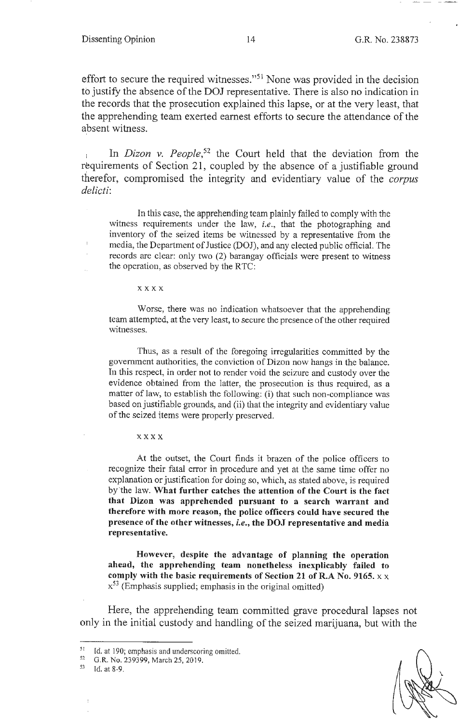effort to secure the required witnesses."51 None was provided in the decision to justify the absence of the DOJ representative. There is also no indication in the records that the prosecution explained this lapse, or at the very least, that the apprehending team exerted earnest efforts to secure the attendance of the absent witness.

In *Dizon v. People*,<sup>52</sup> the Court held that the deviation from the requirements of Section 21, coupled by the absence of a justifiable ground therefor, compromised the integrity and evidentiary value of the *corpus delicti:* 

In this case, the apprehending team plainly failed to comply with the witness requirements under the law, *i.e.,* that the photographing and inventory of the seized items be witnessed by a representative from the media, the Department of Justice (DOJ), and any elected public official. The records are clear: only two (2) barangay officials were present to witness the operation, as observed by the RTC:

#### **xx xx**

 $\bar{1}$ J.

> Worse, there was no indication whatsoever that the apprehending team attempted, at the very least, to secure the presence of the other required witnesses.

> Thus, as a result of the foregoing irregularities committed by the government authorities, the conviction of Dizon now hangs in the balance. In this respect, in order not to render void the seizure and custody over the evidence obtained from the latter, the prosecution is thus required, as a matter of law, to establish the following: (i) that such non-compliance was based on justifiable grounds, and (ii) that the integrity and evidentiary value of the seized items were properly preserved.

**x xxx** 

At the outset, the Court finds it brazen of the police officers to recognize their fatal error in procedure and yet at the same time offer no explanation or justification for doing so, which, as stated above, is required by 'the law. **What further catches the attention of the Court is the fact that Dizon was apprehended pursuant to a search warrant and therefore with more reason, the police officers could have secured the presence of the other witnesses,** *i.e.,* **the DOJ representative and media representative.** 

**However, despite the advantage of planning the operation ahead, the apprehending team nonetheless inexplicably failed to comply with the basic requirements of Section 21 of R.A No. 9165.** x x  $x^{53}$  (Emphasis supplied; emphasis in the original omitted)

Here, the apprehending team committed grave procedural lapses not only in the initial custody and handling of the seized marijuana, but with the

<sup>&</sup>lt;sup>51</sup>Id. at 190; emphasis and underscoring omitted.<br><sup>52</sup>G.R. No. 239399, March 25, 2019.

<sup>53</sup> Id. at 8-9.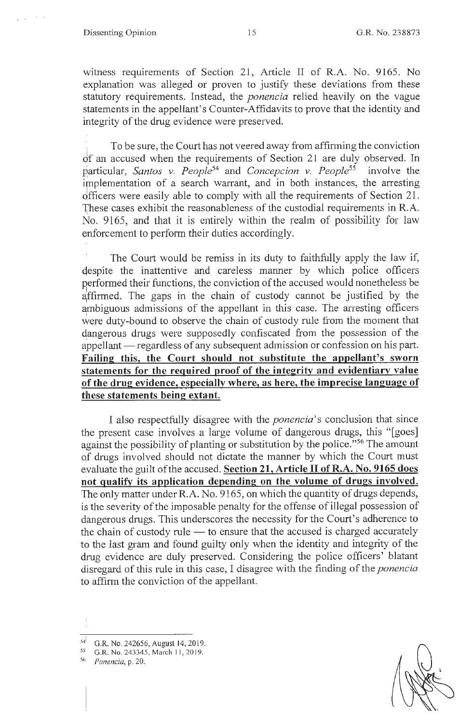#### Dissenting Opinion 15 G.R. No. 238873

'

witness requirements of Section 21, Article II of R.A. No. 9165. No explanation was alleged or proven to justify these deviations from these statutory requirements. Instead, the *ponencia* relied heavily on the vague statements in the appellant's Counter-Affidavits to prove that the identity and integrity of the drug evidence were preserved.

To be sure, the Court has not veered away from affirming the conviction of an accused when the requirements of Section 21 are duly observed. In particular, *Santos v. People*<sup>54</sup> and *Concepcion v. People*<sup>55</sup> involve the implementation of a search warrant, and in both instances, the arresting qfficers were easily able to comply with all the requirements of Section 21 . These cases exhibit the reasonableness of the custodial requirements in R.A. No. 9165, and that it is entirely within the realm of possibility for law enforcement to perform their duties accordingly.

The Court would be remiss in its duty to faithfully apply the law if, despite the inattentive and careless manner by which police officers performed their functions, the conviction of the accused would nonetheless be affirmed. The gaps in the chain of custody cannot be justified by the ambiguous admissions of the appellant in this case. The arresting officers were duty-bound to observe the chain of custody rule from the moment that dangerous drugs were supposedly confiscated from the possession of the appellant — regardless of any subsequent admission or confession on his part. **Failing this, the Court should not substitute the appellant's sworn statements for the required proof of the integrity and evidentiary value of the drug evidence, especially where, as here, the imprecise language of these statements being extant.** 

I also respectfully disagree with the *ponencia's* conclusion that since the present case involves a large volume of dangerous drugs, this "[goes] against the possibility of planting or substitution by the police."<sup>56</sup> The amount qf drugs involved should not dictate the manner by which the Court must evaluate the guilt of the accused. **Section 21, Article II of R.A. No. 9165 does not qualify its application depending on the volume of drugs involved.**  The only matter under R.A. No. 9165, on which the quantity of drugs depends, is the severity of the imposable penalty for the offense of illegal possession of dangerous drugs. This underscores the necessity for the Court's adherence to the chain of custody rule  $-$  to ensure that the accused is charged accurately to the last gram and found guilty only when the identity and integrity of the drug evidence are duly preserved. Considering the police officers' blatant disregard of this rule in this case, I disagree with the finding of the *ponencia* to affirm the conviction of the appellant.

<sup>5</sup> G.R. No. 242656, August 14, 2019.

*<sup>55</sup>*G.R. No. 243345, March 11, 20 19.

<sup>56</sup> *Ponencia,* p. 20.